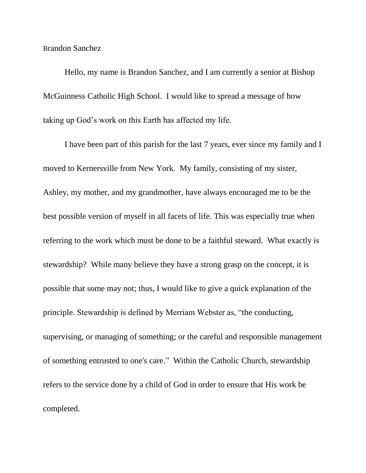Brandon Sanchez

Hello, my name is Brandon Sanchez, and I am currently a senior at Bishop McGuinness Catholic High School. I would like to spread a message of how taking up God's work on this Earth has affected my life.

I have been part of this parish for the last 7 years, ever since my family and I moved to Kernersville from New York. My family, consisting of my sister, Ashley, my mother, and my grandmother, have always encouraged me to be the best possible version of myself in all facets of life. This was especially true when referring to the work which must be done to be a faithful steward. What exactly is stewardship? While many believe they have a strong grasp on the concept, it is possible that some may not; thus, I would like to give a quick explanation of the principle. Stewardship is defined by Merriam Webster as, "the conducting, supervising, or managing of something; or the careful and responsible management of something entrusted to one's care." Within the Catholic Church, stewardship refers to the service done by a child of God in order to ensure that His work be completed.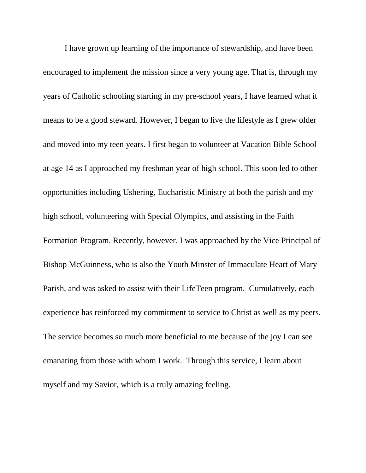I have grown up learning of the importance of stewardship, and have been encouraged to implement the mission since a very young age. That is, through my years of Catholic schooling starting in my pre-school years, I have learned what it means to be a good steward. However, I began to live the lifestyle as I grew older and moved into my teen years. I first began to volunteer at Vacation Bible School at age 14 as I approached my freshman year of high school. This soon led to other opportunities including Ushering, Eucharistic Ministry at both the parish and my high school, volunteering with Special Olympics, and assisting in the Faith Formation Program. Recently, however, I was approached by the Vice Principal of Bishop McGuinness, who is also the Youth Minster of Immaculate Heart of Mary Parish, and was asked to assist with their LifeTeen program. Cumulatively, each experience has reinforced my commitment to service to Christ as well as my peers. The service becomes so much more beneficial to me because of the joy I can see emanating from those with whom I work. Through this service, I learn about myself and my Savior, which is a truly amazing feeling.